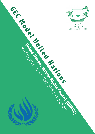

Heeju Cho Henry Ko

**United Nations Rights Council (UNHRC)** 

Refugees and Refugees and Refugees and Refugees and Refugees and Refugees and Refugees and Refugees and Refuge

w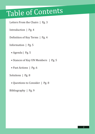## Table of Contents

Letters From the Chairs | Pg. 3

Introduction | Pg. 4

Definition of Key Terms | Pg. 4

Information | Pg. 5

- Agenda | Pg. 5
- Stances of Key UN Members | Pg. 5
- Past Actions | Pg. 6

Solutions | Pg. 8

• Questions to Consider | Pg. 8

Bibliography | Pg. 9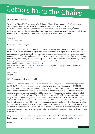# Letters from the Chairs

Dear esteemed delegates,

Welcome to GECMUN V! My name is Sarah Sunwoo Yoo, a Grade 9 student at St Johnsbury Academy Jeju. It is my utmost pleasure to serve as one of the chairs of United Nations Human Rights Council (UNHRC) and I wholeheartedly look forward to meeting all of you in March. Throughout the conference, I wish to help you engage in a fruitful and passionate debate regarding the conflict in Syria. Good luck to all delegates and I hope your GECMUN V lasts as an amazing memory!

Yours truly, Sarah Sunwoo Yoo

Greeting honorable delegates.

My name is Heeju Cho, a junior from Saint Johnsbury Academy, Jeju Campus. It is a great honor to work as chair for the committee this year. I believe that the most crucial part in MUN is to show active participation and passion to resolve the ongoing human rights violations in Syria. Having a thorough understanding of the issue and possible solutions - which concentrates on not only short-term solutions but also long-term strategies - might also help you to participate more actively. We are looking forward to seeing productive debates and exceptional resolutions. Overall, we would love to present the unforgettable memory through this conference.

Please feel free to contact me: s17013120@sjajeju.kr! I am opened to any questions including the procedure, issue itself, and more.

Best regards, Heeju Cho

Hello delegates from all over the world!

My name is Henry Ko, a Senior at Korea International School Jeju, and I will be serving as your chair for GECMUN V. Though our committee will be quite large (the biggest committee in GECMUN, actually!) please don't be nervous thinking of talking in front of such large crowds. A bigger committee means more diversity, more ideas, and more chances to find friends you'll connect with even after the conference ends. In fact, our committee will be the closest to "modeling" the United Nations as all of you guys will get to know what it is like to be debating in a room full of delegates representing a wide array of different countries. Speaking of such diversity, I'm especially excited to see delegates from outside of Korea to be joining our MUN journey this year! Make sure you all take the time to enjoy Jeju Island while you're here too—I'll be happy to recommend some great places to visit. Delegates, whether you are a veteran MUN-er or experiencing MUN for the first time, remember that MUN is a place for collaboration and diplomacy--never a place for alienation nor arrogance. If you consider yourself a more experienced delegate please help the delegates rather new to MUN—we all know how terrifying our first few conferences were.

I hope you are all excited for this big big conference in March and do not hesitate to contact me if you have any questions about the conference as a whole or just to say hi (My email is hmko19@kis.ac).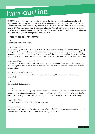## Introduction

UNHRC is a committee that is responsible for strengthening the protection of human rights and regulations of violations globally. It was established on March 15, 2006, to replace the United Nations Commission on Human Rights (CHR). The committee deals with multiple issues such as basic rights, religion, LGBTQ rights, and the rights of racial minorities. The UNHRC is also known as one of the most important committees in the United Nations. Primary goals of the UNHRC are to protect human rights and further prevent other possible violations of it.

## **Definition of Key Terms**

CHR Commission on Human Rights

### Humanitarian Aid

Material and logistic assistance intended to "save lives, alleviate suffering and maintain human dignity during and after man-made crises and disasters caused by natural hazards, as well as to prevent and strengthen preparedness for when such situations occur." The humanitarian aid for the Syrian conflict is coordinated by the United Nations Office for the Coordination of Humanitarian Affairs (UNOCHA).

#### Internally Displaced People (IDPs)

These are people staying within their own country and remain under the protection of its government, even if that government is the reason for their displacement. They often travel to areas more difficult for delivering.

Islamic Extremist Terrorists Terrorist groups including the Islamic State of Iraq and Syria (ISIS) or the Islamic State in Iraq and Levant (ISIL)

OPT Occupied Palestinian Territory

#### **REFUGEE**

The UNHCR (UN Refugee Agency) defines refugees as someone who has been forced to flee his or her country because of persecution, war or violence. A refugee has a well-founded fear of persecution for reasons of race, religion, nationality, political opinion or membership in a particular social group.

Syrian Civil War War that occurred in Syria between two main parties.

#### Syrian refugee camp

A temporary settlement built for refugees through Syrian Civil War. It is mainly supported by not only United Nations itself but also by various NGOs throughout the world.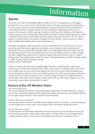## Information

## **Agenda**

The Syrian Civil War, which officially began on March 15, 2011, is considered one of the biggest humanitarian crises of our era. The Arab Spring, a series of anti-government protests and uprising in Arab countries, spread to Syria, leading protestors to oppose the political system and demand more political freedoms. President Bashar al-Assad responded by deploying security forces to employ violent means to end the uprising. Protestors armed themselves leading to a full-blown war between the government; rebel groups, which mainly consisted of citizens; and foreign backers, which consisted of third-party countries along with other groups such as the ISIS. Due to the war, 346,371 people were killed and now the number of refugees who have fled the country reached 5.6 million, with an additional 6.6 million who are internally displaced.

Standards of living have vastly decreased over the past decade; Syria lost not only access to water, electricity, and safety but also significant institutions such as hospitals, schools, and historical landmarks. Moreover, historically important artifacts are being significantly undervalued and sold through black markets, which arose amid the chaos of the war. Turkey received 3.6 million refugees and other neighboring countries such as Lebanon, Egypt, Jordan and Iraq have took in 2 million. Refugees have then sought asylum outside the region, with approximately one million refugees aiming to reside in nations such as Germany, Canada, Sweden, and the United States.

However, countries that have been accepting refugees started to send them back to their home country due to overburdened infrastructure, welfare systems and sociocultural conflicts. Due to the loss of shelter, there are even some Syrian refugees who have to live at sea without anything to eat and are dying above water. In extreme cases, radical groups such as ISIS execute people on the street simply because they asked for a glass of water. As Syrian refugees continue to be deprived of their human rights, discussion around creating a viable solution that can offer Syrian refugees a way to at least resume a part of their everyday lives is crucial.

## **Stances of Key UN Member States**

### THE UNITED KINGDOM

The United Kingdom has offered a Syrian Resettlement Programme for about 8,000 Syrian refugees. The UK also provided humanitarian aid to help Syrian refugees and made the second largest donation to the Syrian refugee crisis since 2012 when the crisis first started.

### Federal Republic of Germany

Germany has accepted more than 360,000 Syrian refugees. However, Germany is currently preparing to send refugees back to Syria under various policies such as the family reunification policy.

### Islamic Republic of Iran

Considering the close diplomatic relationship between Iran and Syria, Iran provided necessary aid for the Syrian government, which influenced the Syrian Civil War. However, even though Iran has enough resources to take in Syrian women and children, there has been no attempt to do so.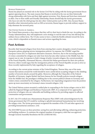#### Russian Federation

Russia has played an essential role in the Syrian Civil War by siding with the Syrian government forces against opposing forces. The main reasons that Russia is involved in the war are their historically strong relationship with Syria and their fight against terrorism. First, Russia and Syria have interacted as allies. Due to their stable and friendly relationship, Russia should help the Syrian government, who faces not only the rebel group, but also other violent parties such as ISIS. Also, because Russia identifies other interested parties such as ISIS as terrorists, Russia began to provide military support to help eliminate the terrorist party.

#### THE UNITED STATES OF AMERICA

The United States presents a clear stance that they will try their best to finish the war. According to the Trump Administration, they will implement a new strategy to end the state of war, but still keep the military forces within Syria. The US also seems to have a relatively flexible attitude toward the Syria crisis, which is dependent on Russia's stance and actions regarding the issue.

## **Past Actions**

Recently, Italy banned refugees from Syria from entering their country alongside a trend of numerous European nations adopting stricter immigration policies. In response, the UNHRC urged the European Union (EU) to implement alternative measures. However, due to the increasing number of crimes committed by refugees not only from Syria but also other nations in the Middle East, the request was in vain. In response to Italy's change of policy towards refugees, the current president of the French Republic, Emmanuel Macron, criticized the Italian government for their new policies. However, others would argue that the immigration policies of the French Republic are just as strict as those recently implemented by Italy regarding the acceptance of refugees.

According to the current prime minister of the United Kingdom, Theresa May, one of the main reasons that nations around the world should be more careful about accepting refugees is the climbing number of terrorist attacks around the globe. Moreover, although the Chancellor of the Federal Republic of Germany, Angela Merkel, had been famous for her friendly policies towards refugees from the Middle East, the paradigm is shifting due to the current political climate in Germany and violent crimes committed by the refugees. Furthermore, her impending resignation from the position opens up more uncertainty on Germany's stance towards refugees. [A2]

The United Nations system mounted a unified plan in responding to the Syrian refugee crisis in 2015 called the Regional Refugee and Resilience Framework (3RP). It is composed of two approaches: protection of refugees who are vulnerable and building resilience by providing support to affected communities and governments.

In 2017, the UN worked out a Humanitarian Response Plan (HRP) with acknowledgement by the Syrian government that UN would be working to uphold international humanitarian law involving the refugee crisis. The Syrian government recognized the mandate of the UN and other agencies in providing humanitarian assistance. [A4]

The 2018 HRP focuses on three priorities: saving lives and alleviating suffering, enhancing protection, and building resilience. It continues the original mandate of emergency relief that was approved through General Assembly Resolution 46/182 (A/RES/46/182).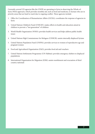Currently, several UN agencies like the UNDP are operating in Syria in observing the Whole-of-Syria (WoS) approach, which provides monthly aid, such as food and medicine, to Syrians who are in priority areas that are hard to reach due to ongoing conflict. These agencies include:

- 1. Office for Coordination of Humanitarian Affairs (OCHA): coordinates the response of agencies in Syria
- 2. United Nations Children's Fund (UNICEF): makes efforts in health and education aimed at children to prevent a "lost generation" of children
- 3. World Health Organization (WHO): provides health services and helps address public health issues
- 4. United Nations High Commissioner for Refugees (UNHCR): assists internally displaced Syrians
- 5. United Nations Population Fund (UNFPA): provides services to women of reproductive age and pregnant women
- 6. Food and Agricultural Organization (FAO): provides food aid and vouchers
- 7. United Nations Settlements Programme (UN-Habitat): provides emergency shelters to displaced populations
- 8. International Organization for Migration (IOM): assists resettlement and evacuation of third country nationals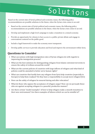# Solutions

Based on the current state of Syria's political and economic issues, the following policy recommendations are possible solutions in the future, when the Syrian crisis comes to an end:

- Based on the current state of Syria's political and economic issues, the following policy recommendations are possible solutions in the future, when the Syrian crisis comes to an end.
- Develop and implement a high-level campaign to make a transition to a mixed economy.
- Provide an opportunity for citizens to have access to a public-private debate and engage in conversations centered on the public good.
- Include a legal framework to make the economy more transparent.
- Develop public services to provide education and food and improve the environment within Syria.

## **Questions to Consider**

- What can nations with high immigration rates of Syrian refugees do with regards to improving the immigration process?
- What are the best solutions for distinguishing refugees from Islamic extremist terrorists to ensure the safety of civilians around the world?
- What are the current policies of countries with large inflows of refugees and what kind of policies could be amended to better serve human rights?
- What can countries that hardly have any refugees from Syria help countries (especially in Europe) to help them readjust? Do they have a responsibility to accept more refugees?[A1]
- How can the safety of refugees be ensured during and after relocation?
- What do those who oppose the acceptance of refugees argue? How can we persuade those who are against accepting refugees in a peaceful, productive manner?
- Are there certain "model examples" of how to help refugees make a smooth transition to their new environment? Are there examples of failures which we can be mindful of?